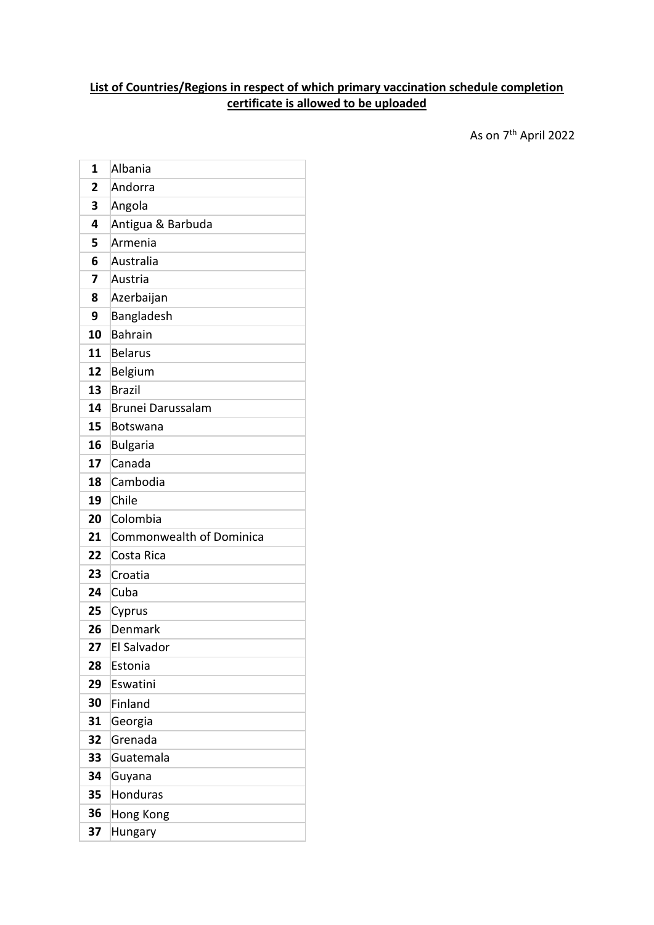## **List of Countries/Regions in respect of which primary vaccination schedule completion certificate is allowed to be uploaded**

 $\,$  As on  $7^{\rm th}$  April 2022  $\,$ 

| 1  | Albania                         |
|----|---------------------------------|
| 2  | Andorra                         |
| 3  | Angola                          |
| 4  | Antigua & Barbuda               |
| 5  | Armenia                         |
| 6  | Australia                       |
| 7  | Austria                         |
| 8  | Azerbaijan                      |
| 9  | Bangladesh                      |
| 10 | <b>Bahrain</b>                  |
| 11 | <b>Belarus</b>                  |
| 12 | Belgium                         |
| 13 | <b>Brazil</b>                   |
| 14 | Brunei Darussalam               |
| 15 | Botswana                        |
| 16 | <b>Bulgaria</b>                 |
| 17 | Canada                          |
| 18 | Cambodia                        |
| 19 | Chile                           |
| 20 | Colombia                        |
| 21 | <b>Commonwealth of Dominica</b> |
| 22 | Costa Rica                      |
| 23 | Croatia                         |
| 24 | Cuba                            |
| 25 | Cyprus                          |
| 26 | Denmark                         |
| 27 | El Salvador                     |
| 28 | Estonia                         |
| 29 | Eswatini                        |
| 30 | Finland                         |
| 31 | Georgia                         |
| 32 | Grenada                         |
| 33 | Guatemala                       |
| 34 | Guyana                          |
| 35 | <b>Honduras</b>                 |
| 36 | Hong Kong                       |
| 37 | Hungary                         |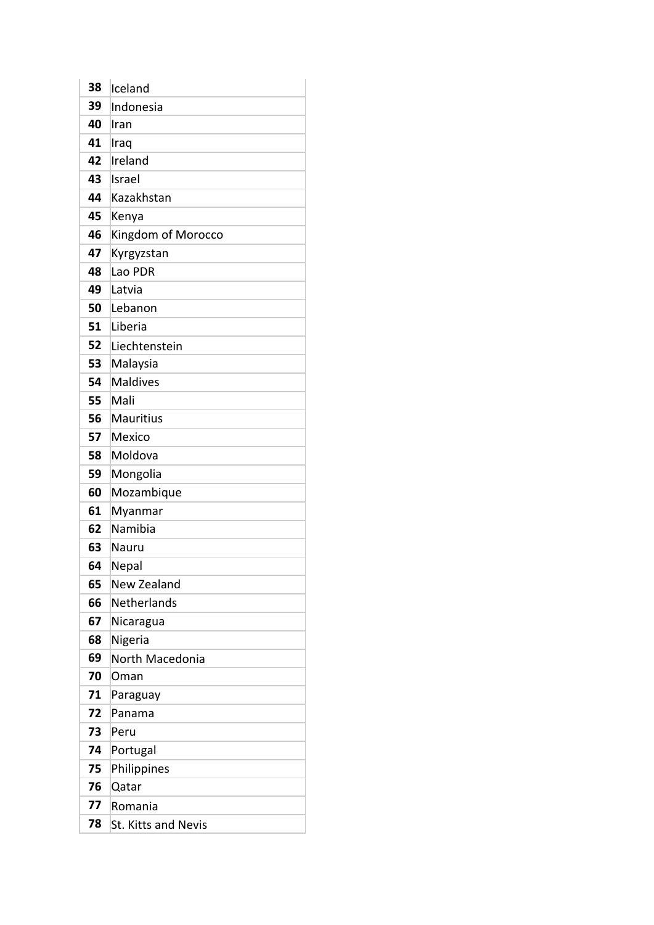| 38 | Iceland                    |
|----|----------------------------|
| 39 | Indonesia                  |
| 40 | Iran                       |
| 41 | Iraq                       |
| 42 | Ireland                    |
| 43 | Israel                     |
| 44 | Kazakhstan                 |
| 45 | Kenya                      |
| 46 | Kingdom of Morocco         |
| 47 | Kyrgyzstan                 |
| 48 | Lao PDR                    |
| 49 | Latvia                     |
| 50 | Lebanon                    |
| 51 | Liberia                    |
| 52 | Liechtenstein              |
| 53 | Malaysia                   |
| 54 | <b>Maldives</b>            |
| 55 | Mali                       |
| 56 | <b>Mauritius</b>           |
| 57 | Mexico                     |
| 58 | Moldova                    |
| 59 | Mongolia                   |
| 60 | Mozambique                 |
| 61 | Myanmar                    |
| 62 | Namibia                    |
| 63 | Nauru                      |
| 64 | Nepal                      |
| 65 | New Zealand                |
| 66 | Netherlands                |
| 67 | Nicaragua                  |
| 68 | Nigeria                    |
| 69 | North Macedonia            |
| 70 | Oman                       |
| 71 | Paraguay                   |
| 72 | Panama                     |
| 73 | Peru                       |
| 74 | Portugal                   |
| 75 | Philippines                |
| 76 | Qatar                      |
| 77 | Romania                    |
| 78 | <b>St. Kitts and Nevis</b> |